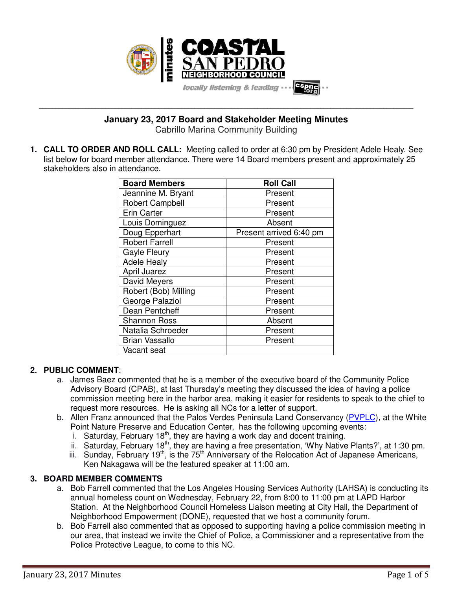

**\_\_\_\_\_\_\_\_\_\_\_\_\_\_\_\_\_\_\_\_\_\_\_\_\_\_\_\_\_\_\_\_\_\_\_\_\_\_\_\_\_\_\_\_\_\_\_\_\_\_\_\_\_\_\_\_\_\_\_\_\_\_\_\_\_\_\_\_\_\_\_\_\_\_\_\_\_\_\_\_\_\_\_\_\_\_\_\_\_\_\_\_\_\_\_\_\_\_\_\_\_\_\_\_\_\_\_\_\_\_\_\_\_ January 23, 2017 Board and Stakeholder Meeting Minutes**

Cabrillo Marina Community Building

**1. CALL TO ORDER AND ROLL CALL:** Meeting called to order at 6:30 pm by President Adele Healy. See list below for board member attendance. There were 14 Board members present and approximately 25 stakeholders also in attendance.

| <b>Board Members</b>   | <b>Roll Call</b>        |
|------------------------|-------------------------|
| Jeannine M. Bryant     | Present                 |
| <b>Robert Campbell</b> | Present                 |
| <b>Erin Carter</b>     | Present                 |
| Louis Dominguez        | Absent                  |
| Doug Epperhart         | Present arrived 6:40 pm |
| <b>Robert Farrell</b>  | Present                 |
| <b>Gayle Fleury</b>    | Present                 |
| <b>Adele Healy</b>     | Present                 |
| April Juarez           | Present                 |
| David Meyers           | Present                 |
| Robert (Bob) Milling   | Present                 |
| George Palaziol        | Present                 |
| Dean Pentcheff         | Present                 |
| <b>Shannon Ross</b>    | Absent                  |
| Natalia Schroeder      | Present                 |
| <b>Brian Vassallo</b>  | Present                 |
| Vacant seat            |                         |

## **2. PUBLIC COMMENT**:

- a. James Baez commented that he is a member of the executive board of the Community Police Advisory Board (CPAB), at last Thursday's meeting they discussed the idea of having a police commission meeting here in the harbor area, making it easier for residents to speak to the chief to request more resources. He is asking all NCs for a letter of support.
- b. Allen Franz announced that the Palos Verdes Peninsula Land Conservancy (PVPLC), at the White Point Nature Preserve and Education Center, has the following upcoming events:
	- i. Saturday, February 18<sup>th</sup>, they are having a work day and docent training.
	- ii. Saturday, February 18<sup>th</sup>, they are having a free presentation, 'Why Native Plants?', at 1:30 pm.
	- iii. Sunday, February 19<sup>th</sup>, is the 75<sup>th</sup> Anniversary of the Relocation Act of Japanese Americans, Ken Nakagawa will be the featured speaker at 11:00 am.

## **3. BOARD MEMBER COMMENTS**

- a. Bob Farrell commented that the Los Angeles Housing Services Authority (LAHSA) is conducting its annual homeless count on Wednesday, February 22, from 8:00 to 11:00 pm at LAPD Harbor Station. At the Neighborhood Council Homeless Liaison meeting at City Hall, the Department of Neighborhood Empowerment (DONE), requested that we host a community forum.
- b. Bob Farrell also commented that as opposed to supporting having a police commission meeting in our area, that instead we invite the Chief of Police, a Commissioner and a representative from the Police Protective League, to come to this NC.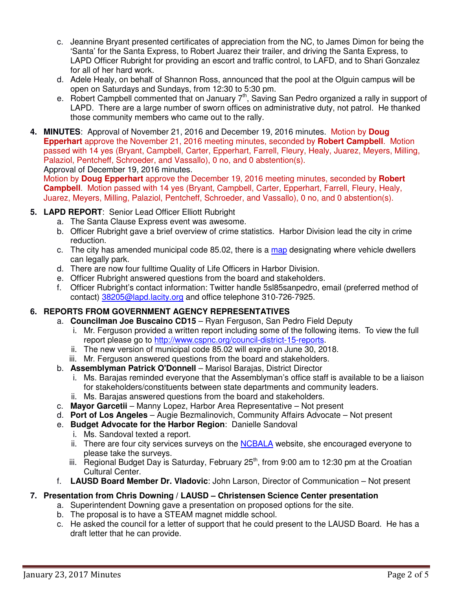- c. Jeannine Bryant presented certificates of appreciation from the NC, to James Dimon for being the 'Santa' for the Santa Express, to Robert Juarez their trailer, and driving the Santa Express, to LAPD Officer Rubright for providing an escort and traffic control, to LAFD, and to Shari Gonzalez for all of her hard work.
- d. Adele Healy, on behalf of Shannon Ross, announced that the pool at the Olguin campus will be open on Saturdays and Sundays, from 12:30 to 5:30 pm.
- e. Robert Campbell commented that on January 7<sup>th</sup>, Saving San Pedro organized a rally in support of LAPD. There are a large number of sworn offices on administrative duty, not patrol. He thanked those community members who came out to the rally.
- **4. MINUTES**: Approval of November 21, 2016 and December 19, 2016 minutes. Motion by **Doug Epperhart** approve the November 21, 2016 meeting minutes, seconded by **Robert Campbell**. Motion passed with 14 yes (Bryant, Campbell, Carter, Epperhart, Farrell, Fleury, Healy, Juarez, Meyers, Milling, Palaziol, Pentcheff, Schroeder, and Vassallo), 0 no, and 0 abstention(s). Approval of December 19, 2016 minutes.

Motion by **Doug Epperhart** approve the December 19, 2016 meeting minutes, seconded by **Robert Campbell**. Motion passed with 14 yes (Bryant, Campbell, Carter, Epperhart, Farrell, Fleury, Healy, Juarez, Meyers, Milling, Palaziol, Pentcheff, Schroeder, and Vassallo), 0 no, and 0 abstention(s).

### **5. LAPD REPORT**: Senior Lead Officer Elliott Rubright

- a. The Santa Clause Express event was awesome.
- b. Officer Rubright gave a brief overview of crime statistics. Harbor Division lead the city in crime reduction.
- c. The city has amended municipal code 85.02, there is a map designating where vehicle dwellers can legally park.
- d. There are now four fulltime Quality of Life Officers in Harbor Division.
- e. Officer Rubright answered questions from the board and stakeholders.
- f. Officer Rubright's contact information: Twitter handle 5sl85sanpedro, email (preferred method of contact) 38205@lapd.lacity.org and office telephone 310-726-7925.

## **6. REPORTS FROM GOVERNMENT AGENCY REPRESENTATIVES**

- a. **Councilman Joe Buscaino CD15** Ryan Ferguson, San Pedro Field Deputy
	- i. Mr. Ferguson provided a written report including some of the following items. To view the full report please go to http://www.cspnc.org/council-district-15-reports.
	- ii. The new version of municipal code 85.02 will expire on June 30, 2018.
	- iii. Mr. Ferguson answered questions from the board and stakeholders.
- b. **Assemblyman Patrick O'Donnell** Marisol Barajas, District Director
	- i. Ms. Barajas reminded everyone that the Assemblyman's office staff is available to be a liaison for stakeholders/constituents between state departments and community leaders.
	- ii. Ms. Barajas answered questions from the board and stakeholders.
- c. **Mayor Garcetii** Manny Lopez, Harbor Area Representative Not present
- d. **Port of Los Angeles** Augie Bezmalinovich, Community Affairs Advocate Not present
- e. **Budget Advocate for the Harbor Region**: Danielle Sandoval
	- i. Ms. Sandoval texted a report.
	- ii. There are four city services surveys on the NCBALA website, she encouraged everyone to please take the surveys.
	- iii. Regional Budget Day is Saturday, February  $25<sup>th</sup>$ , from 9:00 am to 12:30 pm at the Croatian Cultural Center.
- f. **LAUSD Board Member Dr. Vladovic**: John Larson, Director of Communication Not present

## **7. Presentation from Chris Downing / LAUSD – Christensen Science Center presentation**

- a. Superintendent Downing gave a presentation on proposed options for the site.
- b. The proposal is to have a STEAM magnet middle school.
- c. He asked the council for a letter of support that he could present to the LAUSD Board. He has a draft letter that he can provide.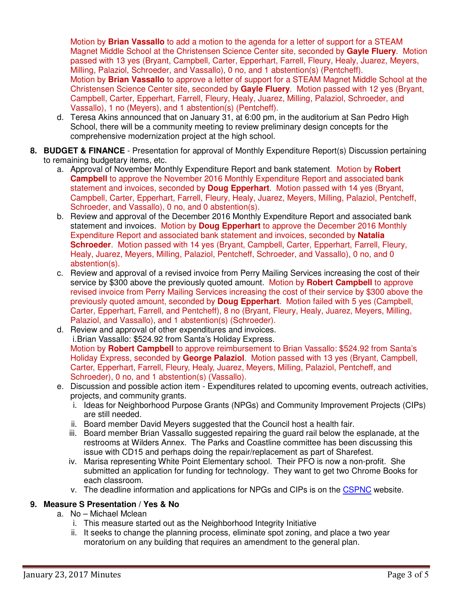Motion by **Brian Vassallo** to add a motion to the agenda for a letter of support for a STEAM Magnet Middle School at the Christensen Science Center site, seconded by **Gayle Fluery**. Motion passed with 13 yes (Bryant, Campbell, Carter, Epperhart, Farrell, Fleury, Healy, Juarez, Meyers, Milling, Palaziol, Schroeder, and Vassallo), 0 no, and 1 abstention(s) (Pentcheff). Motion by **Brian Vassallo** to approve a letter of support for a STEAM Magnet Middle School at the Christensen Science Center site, seconded by **Gayle Fluery**. Motion passed with 12 yes (Bryant,

Campbell, Carter, Epperhart, Farrell, Fleury, Healy, Juarez, Milling, Palaziol, Schroeder, and Vassallo), 1 no (Meyers), and 1 abstention(s) (Pentcheff).

- d. Teresa Akins announced that on January 31, at 6:00 pm, in the auditorium at San Pedro High School, there will be a community meeting to review preliminary design concepts for the comprehensive modernization project at the high school.
- **8. BUDGET & FINANCE** Presentation for approval of Monthly Expenditure Report(s) Discussion pertaining to remaining budgetary items, etc.
	- a. Approval of November Monthly Expenditure Report and bank statement. Motion by **Robert Campbell** to approve the November 2016 Monthly Expenditure Report and associated bank statement and invoices, seconded by **Doug Epperhart**. Motion passed with 14 yes (Bryant, Campbell, Carter, Epperhart, Farrell, Fleury, Healy, Juarez, Meyers, Milling, Palaziol, Pentcheff, Schroeder, and Vassallo), 0 no, and 0 abstention(s).
	- b. Review and approval of the December 2016 Monthly Expenditure Report and associated bank statement and invoices. Motion by **Doug Epperhart** to approve the December 2016 Monthly Expenditure Report and associated bank statement and invoices, seconded by **Natalia Schroeder**. Motion passed with 14 yes (Bryant, Campbell, Carter, Epperhart, Farrell, Fleury, Healy, Juarez, Meyers, Milling, Palaziol, Pentcheff, Schroeder, and Vassallo), 0 no, and 0 abstention(s).
	- c. Review and approval of a revised invoice from Perry Mailing Services increasing the cost of their service by \$300 above the previously quoted amount. Motion by **Robert Campbell** to approve revised invoice from Perry Mailing Services increasing the cost of their service by \$300 above the previously quoted amount, seconded by **Doug Epperhart**. Motion failed with 5 yes (Campbell, Carter, Epperhart, Farrell, and Pentcheff), 8 no (Bryant, Fleury, Healy, Juarez, Meyers, Milling, Palaziol, and Vassallo), and 1 abstention(s) (Schroeder).
	- d. Review and approval of other expenditures and invoices. i. Brian Vassallo: \$524.92 from Santa's Holiday Express. Motion by **Robert Campbell** to approve reimbursement to Brian Vassallo: \$524.92 from Santa's Holiday Express, seconded by **George Palaziol**. Motion passed with 13 yes (Bryant, Campbell, Carter, Epperhart, Farrell, Fleury, Healy, Juarez, Meyers, Milling, Palaziol, Pentcheff, and Schroeder), 0 no, and 1 abstention(s) (Vassallo).
	- e. Discussion and possible action item Expenditures related to upcoming events, outreach activities, projects, and community grants.
		- i. Ideas for Neighborhood Purpose Grants (NPGs) and Community Improvement Projects (CIPs) are still needed.
		- ii. Board member David Meyers suggested that the Council host a health fair.
		- iii. Board member Brian Vassallo suggested repairing the guard rail below the esplanade, at the restrooms at Wilders Annex. The Parks and Coastline committee has been discussing this issue with CD15 and perhaps doing the repair/replacement as part of Sharefest.
		- iv. Marisa representing White Point Elementary school. Their PFO is now a non-profit. She submitted an application for funding for technology. They want to get two Chrome Books for each classroom.
		- v. The deadline information and applications for NPGs and CIPs is on the CSPNC website.

## **9. Measure S Presentation / Yes & No**

- a. No Michael Mclean
	- i. This measure started out as the Neighborhood Integrity Initiative
	- ii. It seeks to change the planning process, eliminate spot zoning, and place a two year moratorium on any building that requires an amendment to the general plan.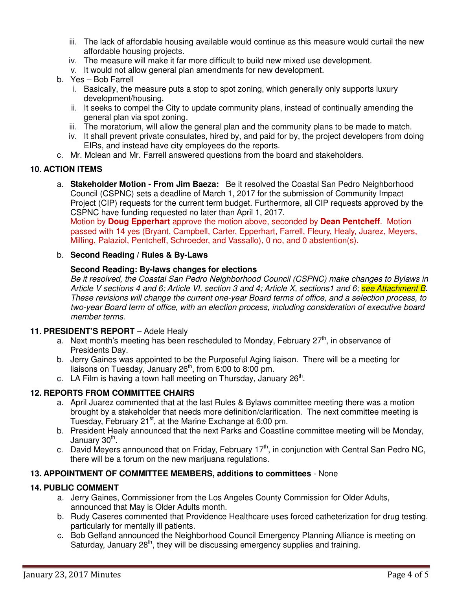- iii. The lack of affordable housing available would continue as this measure would curtail the new affordable housing projects.
- iv. The measure will make it far more difficult to build new mixed use development.
- v. It would not allow general plan amendments for new development.
- b. Yes Bob Farrell
	- i. Basically, the measure puts a stop to spot zoning, which generally only supports luxury development/housing.
	- ii. It seeks to compel the City to update community plans, instead of continually amending the general plan via spot zoning.
	- iii. The moratorium, will allow the general plan and the community plans to be made to match.
	- iv. It shall prevent private consulates, hired by, and paid for by, the project developers from doing EIRs, and instead have city employees do the reports.
- c. Mr. Mclean and Mr. Farrell answered questions from the board and stakeholders.

### **10. ACTION ITEMS**

a. **Stakeholder Motion - From Jim Baeza:** Be it resolved the Coastal San Pedro Neighborhood Council (CSPNC) sets a deadline of March 1, 2017 for the submission of Community Impact Project (CIP) requests for the current term budget. Furthermore, all CIP requests approved by the CSPNC have funding requested no later than April 1, 2017.

Motion by **Doug Epperhart** approve the motion above, seconded by **Dean Pentcheff**. Motion passed with 14 yes (Bryant, Campbell, Carter, Epperhart, Farrell, Fleury, Healy, Juarez, Meyers, Milling, Palaziol, Pentcheff, Schroeder, and Vassallo), 0 no, and 0 abstention(s).

#### b. **Second Reading / Rules & By-Laws**

#### **Second Reading: By-laws changes for elections**

Be it resolved, the Coastal San Pedro Neighborhood Council (CSPNC) make changes to Bylaws in Article V sections 4 and 6; Article VI, section 3 and 4; Article X, sections1 and 6; see Attachment B. These revisions will change the current one-year Board terms of office, and a selection process, to two-year Board term of office, with an election process, including consideration of executive board member terms.

#### **11. PRESIDENT'S REPORT** – Adele Healy

- a. Next month's meeting has been rescheduled to Monday, February  $27<sup>th</sup>$ , in observance of Presidents Day.
- b. Jerry Gaines was appointed to be the Purposeful Aging liaison. There will be a meeting for liaisons on Tuesday, January 26<sup>th</sup>, from 6:00 to 8:00 pm.
- c. LA Film is having a town hall meeting on Thursday, January  $26<sup>th</sup>$ .

### **12. REPORTS FROM COMMITTEE CHAIRS**

- a. April Juarez commented that at the last Rules & Bylaws committee meeting there was a motion brought by a stakeholder that needs more definition/clarification. The next committee meeting is Tuesday, February 21<sup>st</sup>, at the Marine Exchange at 6:00 pm.
- b. President Healy announced that the next Parks and Coastline committee meeting will be Monday, January 30<sup>th</sup>.
- c. David Meyers announced that on Friday, February  $17<sup>th</sup>$ , in conjunction with Central San Pedro NC, there will be a forum on the new marijuana regulations.

### **13. APPOINTMENT OF COMMITTEE MEMBERS, additions to committees** - None

### **14. PUBLIC COMMENT**

- a. Jerry Gaines, Commissioner from the Los Angeles County Commission for Older Adults, announced that May is Older Adults month.
- b. Rudy Caseres commented that Providence Healthcare uses forced catheterization for drug testing, particularly for mentally ill patients.
- c. Bob Gelfand announced the Neighborhood Council Emergency Planning Alliance is meeting on Saturday, January 28<sup>th</sup>, they will be discussing emergency supplies and training.